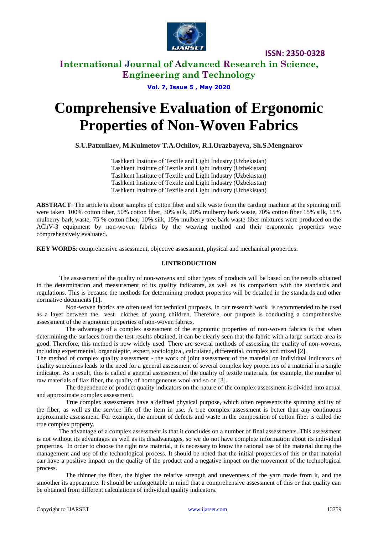

**ISSN: 2350-0328**

# **International Journal of Advanced Research in Science, Engineering and Technology**

**Vol. 7, Issue 5 , May 2020**

# **Comprehensive Evaluation of Ergonomic Properties of Non-Woven Fabrics**

**S.U.Patxullaev, M.Kulmetov T.A.Ochilov, R.I.Orazbayeva, Sh.S.Mengnarov**

Tashkent Institute of Textile and Light Industry (Uzbekistan) Tashkent Institute of Textile and Light Industry (Uzbekistan) Tashkent Institute of Textile and Light Industry (Uzbekistan) Tashkent Institute of Textile and Light Industry (Uzbekistan) Tashkent Institute of Textile and Light Industry (Uzbekistan)

**ABSTRACT**: The article is about samples of cotton fiber and silk waste from the carding machine at the spinning mill were taken 100% cotton fiber, 50% cotton fiber, 30% silk, 20% mulberry bark waste, 70% cotton fiber 15% silk, 15% mulberry bark waste, 75 % cotton fiber, 10% silk, 15% mulberry tree bark waste fiber mixtures were produced on the AChV-3 equipment by non-woven fabrics by the weaving method and their ergonomic properties were comprehensively evaluated.

**KEY WORDS**: comprehensive assessment, objective assessment, physical and mechanical properties.

### **I.INTRODUCTION**

The assessment of the quality of non-wovens and other types of products will be based on the results obtained in the determination and measurement of its quality indicators, as well as its comparison with the standards and regulations. This is because the methods for determining product properties will be detailed in the standards and other normative documents [1].

Non-woven fabrics are often used for technical purposes. In our research work is recommended to be used as a layer between the vest clothes of young children. Therefore, our purpose is conducting a comprehensive assessment of the ergonomic properties of non-woven fabrics.

The advantage of a complex assessment of the ergonomic properties of non-woven fabrics is that when determining the surfaces from the test results obtained, it can be clearly seen that the fabric with a large surface area is good. Therefore, this method is now widely used. There are several methods of assessing the quality of non-wovens, including experimental, organoleptic, expert, sociological, calculated, differential, complex and mixed [2].

The method of complex quality assessment - the work of joint assessment of the material on individual indicators of quality sometimes leads to the need for a general assessment of several complex key properties of a material in a single indicator. As a result, this is called a general assessment of the quality of textile materials, for example, the number of raw materials of flax fiber, the quality of homogeneous wool and so on [3].

The dependence of product quality indicators on the nature of the complex assessment is divided into actual and approximate complex assessment.

True complex assessments have a defined physical purpose, which often represents the spinning ability of the fiber, as well as the service life of the item in use. A true complex assessment is better than any continuous approximate assessment. For example, the amount of defects and waste in the composition of cotton fiber is called the true complex property.

The advantage of a complex assessment is that it concludes on a number of final assessments. This assessment is not without its advantages as well as its disadvantages, so we do not have complete information about its individual properties. In order to choose the right raw material, it is necessary to know the rational use of the material during the management and use of the technological process. It should be noted that the initial properties of this or that material can have a positive impact on the quality of the product and a negative impact on the movement of the technological process.

The thinner the fiber, the higher the relative strength and unevenness of the yarn made from it, and the smoother its appearance. It should be unforgettable in mind that a comprehensive assessment of this or that quality can be obtained from different calculations of individual quality indicators.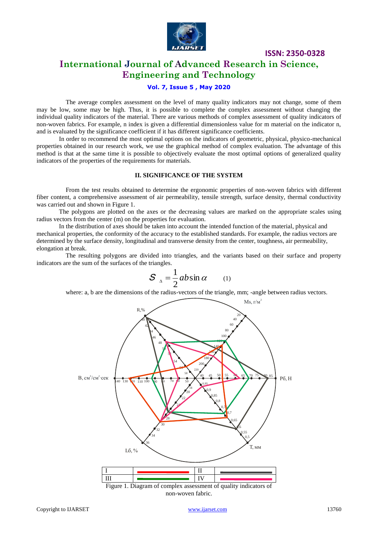

**ISSN: 2350-0328**

# **International Journal of Advanced Research in Science, Engineering and Technology**

## **Vol. 7, Issue 5 , May 2020**

The average complex assessment on the level of many quality indicators may not change, some of them may be low, some may be high. Thus, it is possible to complete the complex assessment without changing the individual quality indicators of the material. There are various methods of complex assessment of quality indicators of non-woven fabrics. For example, n index is given a differential dimensionless value for m material on the indicator n, and is evaluated by the significance coefficient if it has different significance coefficients.

In order to recommend the most optimal options on the indicators of geometric, physical, physico-mechanical properties obtained in our research work, we use the graphical method of complex evaluation. The advantage of this method is that at the same time it is possible to objectively evaluate the most optimal options of generalized quality indicators of the properties of the requirements for materials.

#### **II. SIGNIFICANCE OF THE SYSTEM**

From the test results obtained to determine the ergonomic properties of non-woven fabrics with different fiber content, a comprehensive assessment of air permeability, tensile strength, surface density, thermal conductivity was carried out and shown in Figure 1.

The polygons are plotted on the axes or the decreasing values are marked on the appropriate scales using radius vectors from the center (m) on the properties for evaluation.

In the distribution of axes should be taken into account the intended function of the material, physical and mechanical properties, the conformity of the accuracy to the established standards. For example, the radius vectors are determined by the surface density, longitudinal and transverse density from the center, toughness, air permeability, elongation at break.

The resulting polygons are divided into triangles, and the variants based on their surface and property indicators are the sum of the surfaces of the triangles.

$$
S_{\Delta} = \frac{1}{2}ab\sin\alpha \qquad (1)
$$

where: a, b are the dimensions of the radius-vectors of the triangle, mm; -angle between radius vectors.



non-woven fabric.